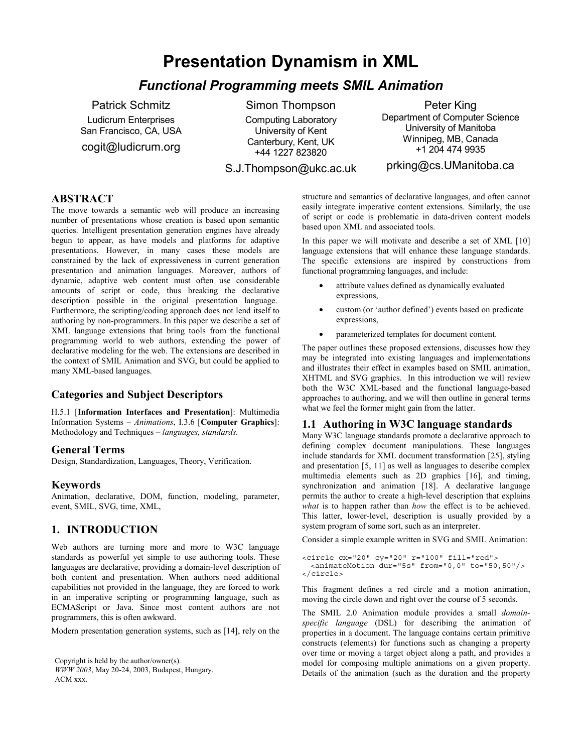# **Presentation Dynamism in XML**

## *Functional Programming meets SMIL Animation*

Patrick Schmitz Ludicrum Enterprises San Francisco, CA, USA cogit@ludicrum.org

Simon Thompson Computing Laboratory University of Kent

Canterbury, Kent, UK

Peter King Department of Computer Science University of Manitoba Winnipeg, MB, Canada +1 204 474 9935

+44 1227 823820 S.J.Thompson@ukc.ac.uk

prking@cs.UManitoba.ca

### **ABSTRACT**

The move towards a semantic web will produce an increasing number of presentations whose creation is based upon semantic queries. Intelligent presentation generation engines have already begun to appear, as have models and platforms for adaptive presentations. However, in many cases these models are constrained by the lack of expressiveness in current generation presentation and animation languages. Moreover, authors of dynamic, adaptive web content must often use considerable amounts of script or code, thus breaking the declarative description possible in the original presentation language. Furthermore, the scripting/coding approach does not lend itself to authoring by non-programmers. In this paper we describe a set of XML language extensions that bring tools from the functional programming world to web authors, extending the power of declarative modeling for the web. The extensions are described in the context of SMIL Animation and SVG, but could be applied to many XML-based languages.

### **Categories and Subject Descriptors**

H.5.1 [**Information Interfaces and Presentation**]: Multimedia Information Systems – *Animations*, I.3.6 [**Computer Graphics**]: Methodology and Techniques – *languages, standards.*

#### **General Terms**

Design, Standardization, Languages, Theory, Verification.

#### **Keywords**

Animation, declarative, DOM, function, modeling, parameter, event, SMIL, SVG, time, XML,

### **1. INTRODUCTION**

Web authors are turning more and more to W3C language standards as powerful yet simple to use authoring tools. These languages are declarative, providing a domain-level description of both content and presentation. When authors need additional capabilities not provided in the language, they are forced to work in an imperative scripting or programming language, such as ECMAScript or Java. Since most content authors are not programmers, this is often awkward.

Modern presentation generation systems, such as [14], rely on the

Copyright is held by the author/owner(s). *WWW 2003*, May 20-24, 2003, Budapest, Hungary. ACM xxx.

structure and semantics of declarative languages, and often cannot easily integrate imperative content extensions. Similarly, the use of script or code is problematic in data-driven content models based upon XML and associated tools.

In this paper we will motivate and describe a set of XML [10] language extensions that will enhance these language standards. The specific extensions are inspired by constructions from functional programming languages, and include:

- attribute values defined as dynamically evaluated expressions,
- custom (or 'author defined') events based on predicate expressions,
- parameterized templates for document content.

The paper outlines these proposed extensions, discusses how they may be integrated into existing languages and implementations and illustrates their effect in examples based on SMIL animation, XHTML and SVG graphics. In this introduction we will review both the W3C XML-based and the functional language-based approaches to authoring, and we will then outline in general terms what we feel the former might gain from the latter.

#### **1.1 Authoring in W3C language standards**

Many W3C language standards promote a declarative approach to defining complex document manipulations. These languages include standards for XML document transformation [25], styling and presentation [5, 11] as well as languages to describe complex multimedia elements such as 2D graphics [16], and timing, synchronization and animation [18]. A declarative language permits the author to create a high-level description that explains *what* is to happen rather than *how* the effect is to be achieved. This latter, lower-level, description is usually provided by a system program of some sort, such as an interpreter.

Consider a simple example written in SVG and SMIL Animation:

```
<circle cx="20" cy="20" r="100" fill="red">
 <animateMotion dur="5s" from="0,0" to="50,50"/>
</circle>
```
This fragment defines a red circle and a motion animation, moving the circle down and right over the course of 5 seconds.

The SMIL 2.0 Animation module provides a small *domainspecific language* (DSL) for describing the animation of properties in a document. The language contains certain primitive constructs (elements) for functions such as changing a property over time or moving a target object along a path, and provides a model for composing multiple animations on a given property. Details of the animation (such as the duration and the property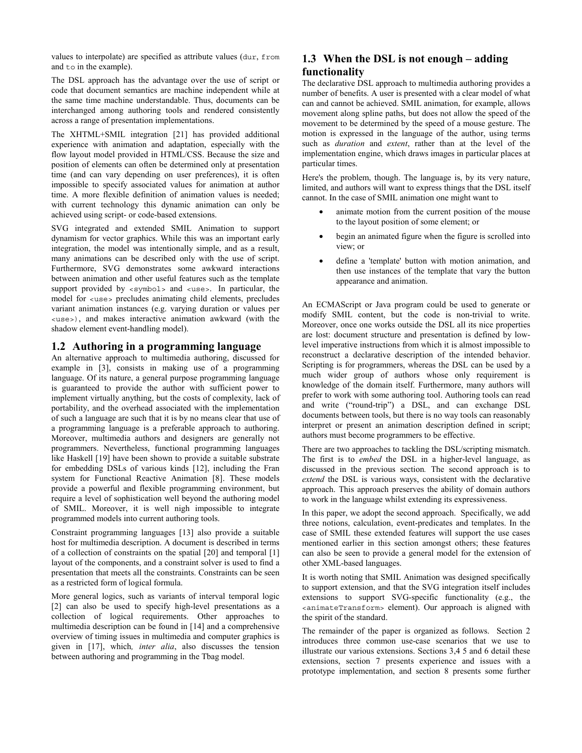values to interpolate) are specified as attribute values (dur, from and to in the example).

The DSL approach has the advantage over the use of script or code that document semantics are machine independent while at the same time machine understandable. Thus, documents can be interchanged among authoring tools and rendered consistently across a range of presentation implementations.

The XHTML+SMIL integration [21] has provided additional experience with animation and adaptation, especially with the flow layout model provided in HTML/CSS. Because the size and position of elements can often be determined only at presentation time (and can vary depending on user preferences), it is often impossible to specify associated values for animation at author time. A more flexible definition of animation values is needed; with current technology this dynamic animation can only be achieved using script- or code-based extensions.

SVG integrated and extended SMIL Animation to support dynamism for vector graphics. While this was an important early integration, the model was intentionally simple, and as a result, many animations can be described only with the use of script. Furthermore, SVG demonstrates some awkward interactions between animation and other useful features such as the template support provided by  $\langle$ symbol  $\rangle$  and  $\langle$ use  $\rangle$ . In particular, the model for  $\langle$ use> precludes animating child elements, precludes variant animation instances (e.g. varying duration or values per <use>), and makes interactive animation awkward (with the shadow element event-handling model).

#### **1.2 Authoring in a programming language**

An alternative approach to multimedia authoring, discussed for example in [3], consists in making use of a programming language. Of its nature, a general purpose programming language is guaranteed to provide the author with sufficient power to implement virtually anything, but the costs of complexity, lack of portability, and the overhead associated with the implementation of such a language are such that it is by no means clear that use of a programming language is a preferable approach to authoring. Moreover, multimedia authors and designers are generally not programmers. Nevertheless, functional programming languages like Haskell [19] have been shown to provide a suitable substrate for embedding DSLs of various kinds [12], including the Fran system for Functional Reactive Animation [8]. These models provide a powerful and flexible programming environment, but require a level of sophistication well beyond the authoring model of SMIL. Moreover, it is well nigh impossible to integrate programmed models into current authoring tools.

Constraint programming languages [13] also provide a suitable host for multimedia description. A document is described in terms of a collection of constraints on the spatial [20] and temporal [1] layout of the components, and a constraint solver is used to find a presentation that meets all the constraints. Constraints can be seen as a restricted form of logical formula.

More general logics, such as variants of interval temporal logic [2] can also be used to specify high-level presentations as a collection of logical requirements. Other approaches to multimedia description can be found in [14] and a comprehensive overview of timing issues in multimedia and computer graphics is given in [17], which*, inter alia*, also discusses the tension between authoring and programming in the Tbag model.

### **1.3 When the DSL is not enough – adding functionality**

The declarative DSL approach to multimedia authoring provides a number of benefits. A user is presented with a clear model of what can and cannot be achieved. SMIL animation, for example, allows movement along spline paths, but does not allow the speed of the movement to be determined by the speed of a mouse gesture. The motion is expressed in the language of the author, using terms such as *duration* and *extent*, rather than at the level of the implementation engine, which draws images in particular places at particular times.

Here's the problem, though. The language is, by its very nature, limited, and authors will want to express things that the DSL itself cannot. In the case of SMIL animation one might want to

- animate motion from the current position of the mouse to the layout position of some element; or
- begin an animated figure when the figure is scrolled into view; or
- define a 'template' button with motion animation, and then use instances of the template that vary the button appearance and animation.

An ECMAScript or Java program could be used to generate or modify SMIL content, but the code is non-trivial to write. Moreover, once one works outside the DSL all its nice properties are lost: document structure and presentation is defined by lowlevel imperative instructions from which it is almost impossible to reconstruct a declarative description of the intended behavior. Scripting is for programmers, whereas the DSL can be used by a much wider group of authors whose only requirement is knowledge of the domain itself. Furthermore, many authors will prefer to work with some authoring tool. Authoring tools can read and write ("round-trip") a DSL, and can exchange DSL documents between tools, but there is no way tools can reasonably interpret or present an animation description defined in script; authors must become programmers to be effective.

There are two approaches to tackling the DSL/scripting mismatch. The first is to *embed* the DSL in a higher-level language, as discussed in the previous section*.* The second approach is to *extend* the DSL is various ways, consistent with the declarative approach. This approach preserves the ability of domain authors to work in the language whilst extending its expressiveness.

In this paper, we adopt the second approach. Specifically, we add three notions, calculation, event-predicates and templates. In the case of SMIL these extended features will support the use cases mentioned earlier in this section amongst others; these features can also be seen to provide a general model for the extension of other XML-based languages.

It is worth noting that SMIL Animation was designed specifically to support extension, and that the SVG integration itself includes extensions to support SVG-specific functionality (e.g., the <animateTransform> element). Our approach is aligned with the spirit of the standard.

The remainder of the paper is organized as follows. Section 2 introduces three common use-case scenarios that we use to illustrate our various extensions. Sections 3,4 5 and 6 detail these extensions, section 7 presents experience and issues with a prototype implementation, and section 8 presents some further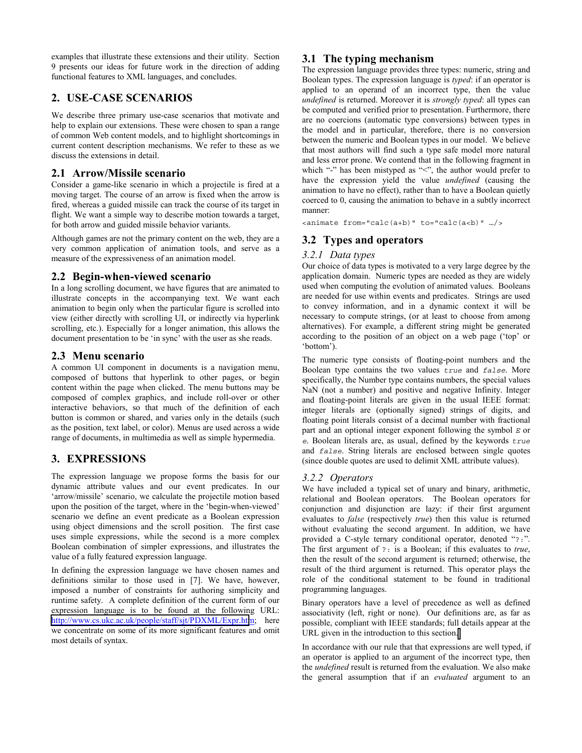examples that illustrate these extensions and their utility. Section 9 presents our ideas for future work in the direction of adding functional features to XML languages, and concludes.

### **2. USE-CASE SCENARIOS**

We describe three primary use-case scenarios that motivate and help to explain our extensions. These were chosen to span a range of common Web content models, and to highlight shortcomings in current content description mechanisms. We refer to these as we discuss the extensions in detail.

### **2.1 Arrow/Missile scenario**

Consider a game-like scenario in which a projectile is fired at a moving target. The course of an arrow is fixed when the arrow is fired, whereas a guided missile can track the course of its target in flight. We want a simple way to describe motion towards a target, for both arrow and guided missile behavior variants.

Although games are not the primary content on the web, they are a very common application of animation tools, and serve as a measure of the expressiveness of an animation model.

### **2.2 Begin-when-viewed scenario**

In a long scrolling document, we have figures that are animated to illustrate concepts in the accompanying text. We want each animation to begin only when the particular figure is scrolled into view (either directly with scrolling UI, or indirectly via hyperlink scrolling, etc.). Especially for a longer animation, this allows the document presentation to be 'in sync' with the user as she reads.

### **2.3 Menu scenario**

A common UI component in documents is a navigation menu, composed of buttons that hyperlink to other pages, or begin content within the page when clicked. The menu buttons may be composed of complex graphics, and include roll-over or other interactive behaviors, so that much of the definition of each button is common or shared, and varies only in the details (such as the position, text label, or color). Menus are used across a wide range of documents, in multimedia as well as simple hypermedia.

### **3. EXPRESSIONS**

The expression language we propose forms the basis for our dynamic attribute values and our event predicates. In our 'arrow/missile' scenario, we calculate the projectile motion based upon the position of the target, where in the 'begin-when-viewed' scenario we define an event predicate as a Boolean expression using object dimensions and the scroll position. The first case uses simple expressions, while the second is a more complex Boolean combination of simpler expressions, and illustrates the value of a fully featured expression language.

In defining the expression language we have chosen names and definitions similar to those used in [7]. We have, however, imposed a number of constraints for authoring simplicity and runtime safety. A complete definition of the current form of our expression language is to be found at the following URL: <http://www.cs.ukc.ac.uk/people/staff/sjt/PDXML/Expr.htm>; here we concentrate on some of its more significant features and omit most details of syntax.

### **3.1 The typing mechanism**

The expression language provides three types: numeric, string and Boolean types. The expression language is *typed*: if an operator is applied to an operand of an incorrect type, then the value *undefined* is returned. Moreover it is *strongly typed*: all types can be computed and verified prior to presentation. Furthermore, there are no coercions (automatic type conversions) between types in the model and in particular, therefore, there is no conversion between the numeric and Boolean types in our model. We believe that most authors will find such a type safe model more natural and less error prone. We contend that in the following fragment in which "-" has been mistyped as "<", the author would prefer to have the expression yield the value *undefined* (causing the animation to have no effect), rather than to have a Boolean quietly coerced to 0, causing the animation to behave in a subtly incorrect manner:

<animate from="calc(a+b)" to="calc(a<b)" …/>

### **3.2 Types and operators**

#### *3.2.1 Data types*

Our choice of data types is motivated to a very large degree by the application domain. Numeric types are needed as they are widely used when computing the evolution of animated values. Booleans are needed for use within events and predicates. Strings are used to convey information, and in a dynamic context it will be necessary to compute strings, (or at least to choose from among alternatives). For example, a different string might be generated according to the position of an object on a web page ('top' or 'bottom').

The numeric type consists of floating-point numbers and the Boolean type contains the two values *true* and *false*. More specifically, the Number type contains numbers, the special values NaN (not a number) and positive and negative Infinity. Integer and floating-point literals are given in the usual IEEE format: integer literals are (optionally signed) strings of digits, and floating point literals consist of a decimal number with fractional part and an optional integer exponent following the symbol *E* or *e*. Boolean literals are, as usual, defined by the keywords *true* and *false*. String literals are enclosed between single quotes (since double quotes are used to delimit XML attribute values).

#### *3.2.2 Operators*

We have included a typical set of unary and binary, arithmetic, relational and Boolean operators. The Boolean operators for conjunction and disjunction are lazy: if their first argument evaluates to *false* (respectively *true*) then this value is returned without evaluating the second argument. In addition, we have provided a C-style ternary conditional operator, denoted "?:". The first argument of ?: is a Boolean; if this evaluates to *true*, then the result of the second argument is returned; otherwise, the result of the third argument is returned. This operator plays the role of the conditional statement to be found in traditional programming languages.

Binary operators have a level of precedence as well as defined associativity (left, right or none). Our definitions are, as far as possible, compliant with IEEE standards; full details appear at the URL given in the introduction to this section[.](http://www.cs.ukc.ac.uk/people/staff/sjt/PDXML/Expr.htm) 

In accordance with our rule that that expressions are well typed, if an operator is applied to an argument of the incorrect type, then the *undefined* result is returned from the evaluation. We also make the general assumption that if an *evaluated* argument to an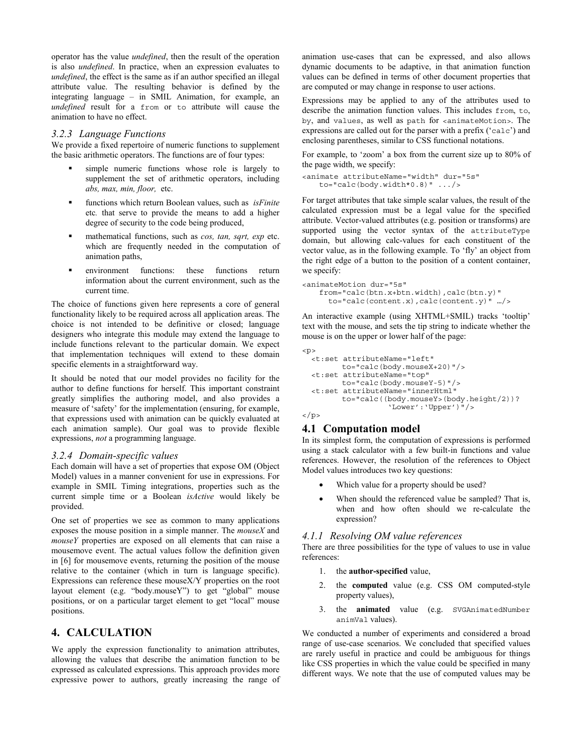operator has the value *undefined*, then the result of the operation is also *undefined*. In practice, when an expression evaluates to *undefined*, the effect is the same as if an author specified an illegal attribute value. The resulting behavior is defined by the integrating language – in SMIL Animation, for example, an *undefined* result for a from or to attribute will cause the animation to have no effect.

#### *3.2.3 Language Functions*

We provide a fixed repertoire of numeric functions to supplement the basic arithmetic operators. The functions are of four types:

- simple numeric functions whose role is largely to supplement the set of arithmetic operators, including *abs, max, min, floor,* etc.
- functions which return Boolean values, such as *isFinite*  etc*.* that serve to provide the means to add a higher degree of security to the code being produced,
- mathematical functions, such as *cos, tan, sqrt, exp* etc. which are frequently needed in the computation of animation paths,
- environment functions: these functions return information about the current environment, such as the current time.

The choice of functions given here represents a core of general functionality likely to be required across all application areas. The choice is not intended to be definitive or closed; language designers who integrate this module may extend the language to include functions relevant to the particular domain. We expect that implementation techniques will extend to these domain specific elements in a straightforward way.

It should be noted that our model provides no facility for the author to define functions for herself. This important constraint greatly simplifies the authoring model, and also provides a measure of 'safety' for the implementation (ensuring, for example, that expressions used with animation can be quickly evaluated at each animation sample). Our goal was to provide flexible expressions, *not* a programming language.

#### *3.2.4 Domain-specific values*

Each domain will have a set of properties that expose OM (Object Model) values in a manner convenient for use in expressions. For example in SMIL Timing integrations, properties such as the current simple time or a Boolean *isActive* would likely be provided.

One set of properties we see as common to many applications exposes the mouse position in a simple manner. The *mouseX* and *mouseY* properties are exposed on all elements that can raise a mousemove event. The actual values follow the definition given in [6] for mousemove events, returning the position of the mouse relative to the container (which in turn is language specific). Expressions can reference these mouseX/Y properties on the root layout element (e.g. "body.mouseY") to get "global" mouse positions, or on a particular target element to get "local" mouse positions.

#### **4. CALCULATION**

We apply the expression functionality to animation attributes, allowing the values that describe the animation function to be expressed as calculated expressions. This approach provides more expressive power to authors, greatly increasing the range of animation use-cases that can be expressed, and also allows dynamic documents to be adaptive, in that animation function values can be defined in terms of other document properties that are computed or may change in response to user actions.

Expressions may be applied to any of the attributes used to describe the animation function values. This includes from, to, by, and values, as well as path for <animateMotion>. The expressions are called out for the parser with a prefix ('calc') and enclosing parentheses, similar to CSS functional notations.

For example, to 'zoom' a box from the current size up to 80% of the page width, we specify:

```
<animate attributeName="width" dur="5s"
   to="calc(body.width*0.8)" \ldots/>
```
For target attributes that take simple scalar values, the result of the calculated expression must be a legal value for the specified attribute. Vector-valued attributes (e.g. position or transforms) are supported using the vector syntax of the attributeType domain, but allowing calc-values for each constituent of the vector value, as in the following example. To 'fly' an object from the right edge of a button to the position of a content container, we specify:

```
<animateMotion dur="5s"
   from="calc(btn.x+btn.width),calc(btn.y)"
     to="calc(content.x),calc(content.y)" …/>
```
An interactive example (using XHTML+SMIL) tracks 'tooltip' text with the mouse, and sets the tip string to indicate whether the mouse is on the upper or lower half of the page:

```
<p>
 <t:set attributeName="left"
        to="calc(body.mouseX+20)"/>
 <t:set attributeName="top"
        to="calc(body.mouseY-5)"/>
 <t:set attributeName="innerHtml"
         to="calc((body.mouseY>(body.height/2))?
                   'Lower':'Upper')"/>
\langle/p>
```
### **4.1 Computation model**

In its simplest form, the computation of expressions is performed using a stack calculator with a few built-in functions and value references. However, the resolution of the references to Object Model values introduces two key questions:

- Which value for a property should be used?
- When should the referenced value be sampled? That is, when and how often should we re-calculate the expression?

#### *4.1.1 Resolving OM value references*

There are three possibilities for the type of values to use in value references:

- 1. the **author-specified** value,
- 2. the **computed** value (e.g. CSS OM computed-style property values),
- 3. the **animated** value (e.g. SVGAnimatedNumber animVal values).

We conducted a number of experiments and considered a broad range of use-case scenarios. We concluded that specified values are rarely useful in practice and could be ambiguous for things like CSS properties in which the value could be specified in many different ways. We note that the use of computed values may be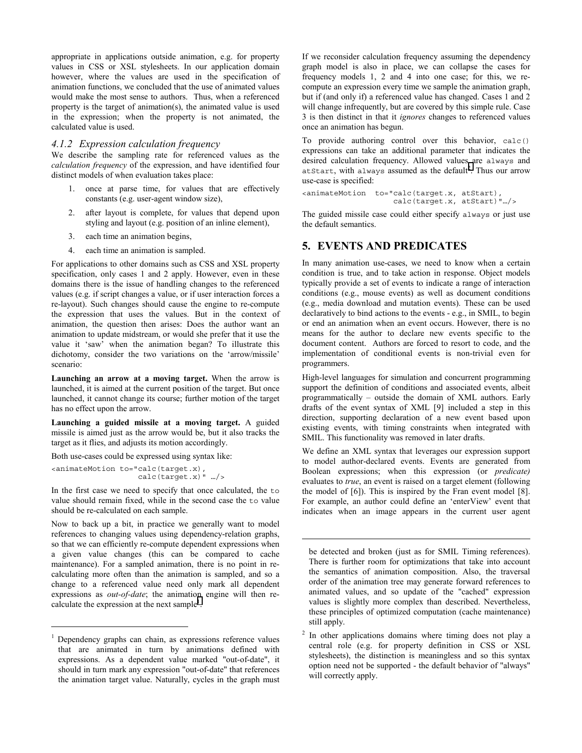appropriate in applications outside animation, e.g. for property values in CSS or XSL stylesheets. In our application domain however, where the values are used in the specification of animation functions, we concluded that the use of animated values would make the most sense to authors. Thus, when a referenced property is the target of animation(s), the animated value is used in the expression; when the property is not animated, the calculated value is used.

#### *4.1.2 Expression calculation frequency*

We describe the sampling rate for referenced values as the *calculation frequency* of the expression, and have identified four distinct models of when evaluation takes place:

- 1. once at parse time, for values that are effectively constants (e.g. user-agent window size),
- 2. after layout is complete, for values that depend upon styling and layout (e.g. position of an inline element),
- 3. each time an animation begins,
- 4. each time an animation is sampled.

For applications to other domains such as CSS and XSL property specification, only cases 1 and 2 apply. However, even in these domains there is the issue of handling changes to the referenced values (e.g. if script changes a value, or if user interaction forces a re-layout). Such changes should cause the engine to re-compute the expression that uses the values. But in the context of animation, the question then arises: Does the author want an animation to update midstream, or would she prefer that it use the value it 'saw<sup>3</sup> when the animation began? To illustrate this dichotomy, consider the two variations on the 'arrow/missile' scenario:

**Launching an arrow at a moving target.** When the arrow is launched, it is aimed at the current position of the target. But once launched, it cannot change its course; further motion of the target has no effect upon the arrow.

**Launching a guided missile at a moving target.** A guided missile is aimed just as the arrow would be, but it also tracks the target as it flies, and adjusts its motion accordingly.

Both use-cases could be expressed using syntax like:

<animateMotion to="calc(target.x), calc(target.x)" …/>

 $\overline{a}$ 

In the first case we need to specify that once calculated, the to value should remain fixed, while in the second case the to value should be re-calculated on each sample.

Now to back up a bit, in practice we generally want to model references to changing values using dependency-relation graphs, so that we can efficiently re-compute dependent expressions when a given value changes (this can be compared to cache maintenance). For a sampled animation, there is no point in recalculating more often than the animation is sampled, and so a change to a referenced value need only mark all dependent expressions as *out-of-date*; the animation engine will then recalculate the expression at the next sample<sup>1</sup>.

If we reconsider calculation frequency assuming the dependency graph model is also in place, we can collapse the cases for frequency models 1, 2 and 4 into one case; for this, we recompute an expression every time we sample the animation graph, but if (and only if) a referenced value has changed. Cases 1 and 2 will change infrequently, but are covered by this simple rule. Case 3 is then distinct in that it *ignores* changes to referenced values once an animation has begun.

To provide authoring control over this behavior, calc() expressions can take an additional parameter that indicates the desired calculation frequency. Allowed values are always and atStart, with always assumed as the default<sup>2</sup>. Thus our arrow use-case is specified:

```
<animateMotion to="calc(target.x, atStart),
                    calc(target.x, atStart)"…/>
```
The guided missile case could either specify always or just use the default semantics.

### **5. EVENTS AND PREDICATES**

In many animation use-cases, we need to know when a certain condition is true, and to take action in response. Object models typically provide a set of events to indicate a range of interaction conditions (e.g., mouse events) as well as document conditions (e.g., media download and mutation events). These can be used declaratively to bind actions to the events - e.g., in SMIL, to begin or end an animation when an event occurs. However, there is no means for the author to declare new events specific to the document content. Authors are forced to resort to code, and the implementation of conditional events is non-trivial even for programmers.

High-level languages for simulation and concurrent programming support the definition of conditions and associated events, albeit programmatically – outside the domain of XML authors. Early drafts of the event syntax of XML [9] included a step in this direction, supporting declaration of a new event based upon existing events, with timing constraints when integrated with SMIL. This functionality was removed in later drafts.

We define an XML syntax that leverages our expression support to model author-declared events. Events are generated from Boolean expressions; when this expression (or *predicate)* evaluates to *true*, an event is raised on a target element (following the model of [6]). This is inspired by the Fran event model [8]. For example, an author could define an 'enterView' event that indicates when an image appears in the current user agent

be detected and broken (just as for SMIL Timing references). There is further room for optimizations that take into account the semantics of animation composition. Also, the traversal order of the animation tree may generate forward references to animated values, and so update of the "cached" expression values is slightly more complex than described. Nevertheless, these principles of optimized computation (cache maintenance) still apply.

 $\overline{a}$ 

2 In other applications domains where timing does not play a central role (e.g. for property definition in CSS or XSL stylesheets), the distinction is meaningless and so this syntax option need not be supported - the default behavior of "always" will correctly apply.

<sup>1</sup> Dependency graphs can chain, as expressions reference values that are animated in turn by animations defined with expressions. As a dependent value marked "out-of-date", it should in turn mark any expression "out-of-date" that references the animation target value. Naturally, cycles in the graph must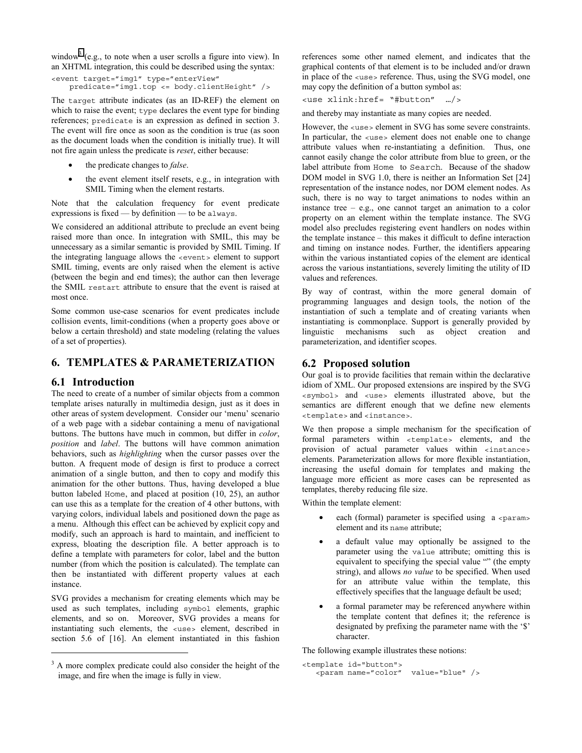window<sup>3</sup> (e.g., to note when a user scrolls a figure into view). In an XHTML integration, this could be described using the syntax:

<event target="img1" type="enterView" predicate="img1.top <= body.clientHeight" />

The target attribute indicates (as an ID-REF) the element on which to raise the event; type declares the event type for binding references; predicate is an expression as defined in section 3. The event will fire once as soon as the condition is true (as soon as the document loads when the condition is initially true). It will not fire again unless the predicate is *reset*, either because:

- the predicate changes to *false*.
- the event element itself resets, e.g., in integration with SMIL Timing when the element restarts.

Note that the calculation frequency for event predicate expressions is fixed — by definition — to be always.

We considered an additional attribute to preclude an event being raised more than once. In integration with SMIL, this may be unnecessary as a similar semantic is provided by SMIL Timing. If the integrating language allows the <event> element to support SMIL timing, events are only raised when the element is active (between the begin and end times); the author can then leverage the SMIL restart attribute to ensure that the event is raised at most once.

Some common use-case scenarios for event predicates include collision events, limit-conditions (when a property goes above or below a certain threshold) and state modeling (relating the values of a set of properties).

### **6. TEMPLATES & PARAMETERIZATION**

### **6.1 Introduction**

 $\overline{a}$ 

The need to create of a number of similar objects from a common template arises naturally in multimedia design, just as it does in other areas of system development. Consider our 'menu' scenario of a web page with a sidebar containing a menu of navigational buttons. The buttons have much in common, but differ in *color*, *position* and *label*. The buttons will have common animation behaviors, such as *highlighting* when the cursor passes over the button. A frequent mode of design is first to produce a correct animation of a single button, and then to copy and modify this animation for the other buttons. Thus, having developed a blue button labeled Home, and placed at position (10, 25), an author can use this as a template for the creation of 4 other buttons, with varying colors, individual labels and positioned down the page as a menu. Although this effect can be achieved by explicit copy and modify, such an approach is hard to maintain, and inefficient to express, bloating the description file. A better approach is to define a template with parameters for color, label and the button number (from which the position is calculated). The template can then be instantiated with different property values at each instance.

SVG provides a mechanism for creating elements which may be used as such templates, including symbol elements, graphic elements, and so on. Moreover, SVG provides a means for instantiating such elements, the <use> element, described in section 5.6 of [16]. An element instantiated in this fashion

references some other named element, and indicates that the graphical contents of that element is to be included and/or drawn in place of the <use> reference. Thus, using the SVG model, one may copy the definition of a button symbol as:

<use xlink:href= "#button" …/>

and thereby may instantiate as many copies are needed.

However, the  $\langle$ use> element in SVG has some severe constraints. In particular, the <use> element does not enable one to change attribute values when re-instantiating a definition. Thus, one cannot easily change the color attribute from blue to green, or the label attribute from Home to Search. Because of the shadow DOM model in SVG 1.0, there is neither an Information Set [24] representation of the instance nodes, nor DOM element nodes. As such, there is no way to target animations to nodes within an instance tree  $-$  e.g., one cannot target an animation to a color property on an element within the template instance. The SVG model also precludes registering event handlers on nodes within the template instance – this makes it difficult to define interaction and timing on instance nodes. Further, the identifiers appearing within the various instantiated copies of the element are identical across the various instantiations, severely limiting the utility of ID values and references.

By way of contrast, within the more general domain of programming languages and design tools, the notion of the instantiation of such a template and of creating variants when instantiating is commonplace. Support is generally provided by linguistic mechanisms such as object creation and parameterization, and identifier scopes.

### **6.2 Proposed solution**

Our goal is to provide facilities that remain within the declarative idiom of XML. Our proposed extensions are inspired by the SVG <symbol> and <use> elements illustrated above, but the semantics are different enough that we define new elements <template> and <instance>.

We then propose a simple mechanism for the specification of formal parameters within <template> elements, and the provision of actual parameter values within <instance> elements. Parameterization allows for more flexible instantiation, increasing the useful domain for templates and making the language more efficient as more cases can be represented as templates, thereby reducing file size.

Within the template element:

- each (formal) parameter is specified using  $a$  <param> element and its name attribute;
- a default value may optionally be assigned to the parameter using the value attribute; omitting this is equivalent to specifying the special value "" (the empty string), and allows *no value* to be specified. When used for an attribute value within the template, this effectively specifies that the language default be used;
- a formal parameter may be referenced anywhere within the template content that defines it; the reference is designated by prefixing the parameter name with the '\$' character.

The following example illustrates these notions:

```
<template id="button">
   <param name="color" value="blue" />
```
<sup>&</sup>lt;sup>3</sup> A more complex predicate could also consider the height of the image, and fire when the image is fully in view.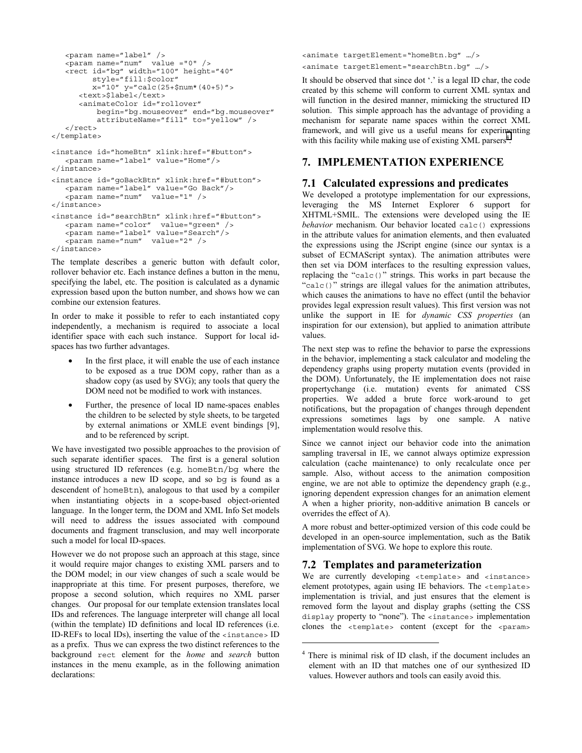```
<param name="label" />
   \epsilon-param name="num" value ="0" />
  <rect id="bg" width="100" height="40"
         style="fill:$color"
         x = 10" y="calc(25+$num*(40+5)">
     <text>$label</text>
     <animateColor id="rollover"
          begin="bg.mouseover" end="bg.mouseover"
          attributeName="fill" to="yellow" />
   </rect>
</template>
<instance id="homeBtn" xlink:href="#button">
   <param name="label" value="Home"/>
</instance>
<instance id="goBackBtn" xlink:href="#button">
  <param name="label" value="Go Back"/>
   <param name="num" value="1" />
</instance>
<instance id="searchBtn" xlink:href="#button">
   <param name="color" value="green" />
   <param name="label" value="Search"/>
   <param name="num" value="2" />
</instance>
```
The template describes a generic button with default color, rollover behavior etc. Each instance defines a button in the menu, specifying the label, etc. The position is calculated as a dynamic expression based upon the button number, and shows how we can combine our extension features.

In order to make it possible to refer to each instantiated copy independently, a mechanism is required to associate a local identifier space with each such instance. Support for local idspaces has two further advantages.

- In the first place, it will enable the use of each instance to be exposed as a true DOM copy, rather than as a shadow copy (as used by SVG); any tools that query the DOM need not be modified to work with instances.
- Further, the presence of local ID name-spaces enables the children to be selected by style sheets, to be targeted by external animations or XMLE event bindings [9], and to be referenced by script.

We have investigated two possible approaches to the provision of such separate identifier spaces. The first is a general solution using structured ID references (e.g. homeBtn/bg where the instance introduces a new ID scope, and so bg is found as a descendent of homeBtn), analogous to that used by a compiler when instantiating objects in a scope-based object-oriented language. In the longer term, the DOM and XML Info Set models will need to address the issues associated with compound documents and fragment transclusion, and may well incorporate such a model for local ID-spaces.

However we do not propose such an approach at this stage, since it would require major changes to existing XML parsers and to the DOM model; in our view changes of such a scale would be inappropriate at this time. For present purposes, therefore, we propose a second solution, which requires no XML parser changes. Our proposal for our template extension translates local IDs and references. The language interpreter will change all local (within the template) ID definitions and local ID references (i.e. ID-REFs to local IDs), inserting the value of the <instance> ID as a prefix. Thus we can express the two distinct references to the background rect element for the *home* and *search* button instances in the menu example, as in the following animation declarations:

<animate targetElement="homeBtn.bg" …/> <animate targetElement="searchBtn.bg" …/>

It should be observed that since dot '.' is a legal ID char, the code created by this scheme will conform to current XML syntax and will function in the desired manner, mimicking the structured ID solution. This simple approach has the advantage of providing a mechanism for separate name spaces within the correct XML framework, and will give us a useful means for experimenting with this facility while making use of existing XML parsers<sup>4</sup>.

### **7. IMPLEMENTATION EXPERIENCE**

### **7.1 Calculated expressions and predicates**

We developed a prototype implementation for our expressions, leveraging the MS Internet Explorer 6 support for XHTML+SMIL. The extensions were developed using the IE *behavior* mechanism. Our behavior located calc() expressions in the attribute values for animation elements, and then evaluated the expressions using the JScript engine (since our syntax is a subset of ECMAScript syntax). The animation attributes were then set via DOM interfaces to the resulting expression values, replacing the "calc()" strings. This works in part because the "calc()" strings are illegal values for the animation attributes, which causes the animations to have no effect (until the behavior provides legal expression result values). This first version was not unlike the support in IE for *dynamic CSS properties* (an inspiration for our extension), but applied to animation attribute values.

The next step was to refine the behavior to parse the expressions in the behavior, implementing a stack calculator and modeling the dependency graphs using property mutation events (provided in the DOM). Unfortunately, the IE implementation does not raise propertychange (i.e. mutation) events for animated CSS properties. We added a brute force work-around to get notifications, but the propagation of changes through dependent expressions sometimes lags by one sample. A native implementation would resolve this.

Since we cannot inject our behavior code into the animation sampling traversal in IE, we cannot always optimize expression calculation (cache maintenance) to only recalculate once per sample. Also, without access to the animation composition engine, we are not able to optimize the dependency graph (e.g., ignoring dependent expression changes for an animation element A when a higher priority, non-additive animation B cancels or overrides the effect of A).

A more robust and better-optimized version of this code could be developed in an open-source implementation, such as the Batik implementation of SVG. We hope to explore this route.

#### **7.2 Templates and parameterization**

1

We are currently developing <template> and <instance> element prototypes, again using IE behaviors. The <template> implementation is trivial, and just ensures that the element is removed form the layout and display graphs (setting the CSS display property to "none"). The <instance> implementation clones the <template> content (except for the <param>

<sup>4</sup> There is minimal risk of ID clash, if the document includes an element with an ID that matches one of our synthesized ID values. However authors and tools can easily avoid this.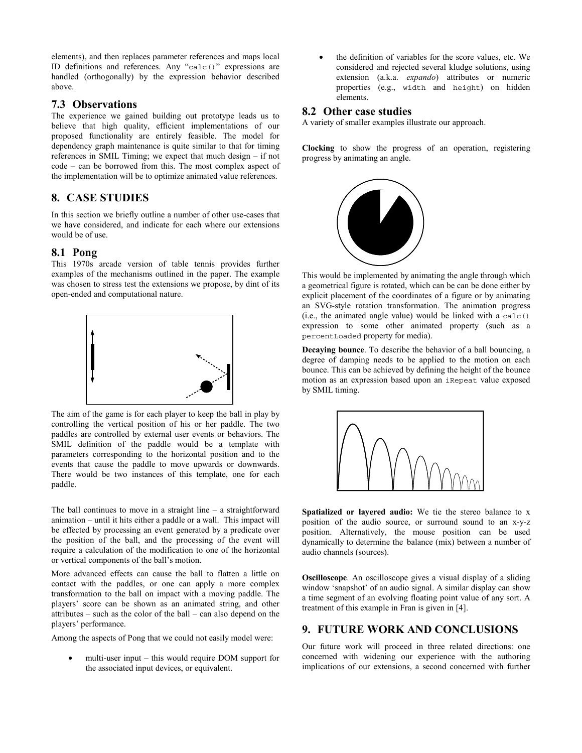elements), and then replaces parameter references and maps local ID definitions and references. Any "calc()" expressions are handled (orthogonally) by the expression behavior described above.

### **7.3 Observations**

The experience we gained building out prototype leads us to believe that high quality, efficient implementations of our proposed functionality are entirely feasible. The model for dependency graph maintenance is quite similar to that for timing references in SMIL Timing; we expect that much design – if not code – can be borrowed from this. The most complex aspect of the implementation will be to optimize animated value references.

### **8. CASE STUDIES**

In this section we briefly outline a number of other use-cases that we have considered, and indicate for each where our extensions would be of use.

#### **8.1 Pong**

This 1970s arcade version of table tennis provides further examples of the mechanisms outlined in the paper. The example was chosen to stress test the extensions we propose, by dint of its open-ended and computational nature.



The aim of the game is for each player to keep the ball in play by controlling the vertical position of his or her paddle. The two paddles are controlled by external user events or behaviors. The SMIL definition of the paddle would be a template with parameters corresponding to the horizontal position and to the events that cause the paddle to move upwards or downwards. There would be two instances of this template, one for each paddle.

The ball continues to move in a straight line – a straightforward animation – until it hits either a paddle or a wall. This impact will be effected by processing an event generated by a predicate over the position of the ball, and the processing of the event will require a calculation of the modification to one of the horizontal or vertical components of the ball's motion.

More advanced effects can cause the ball to flatten a little on contact with the paddles, or one can apply a more complex transformation to the ball on impact with a moving paddle. The players' score can be shown as an animated string, and other attributes – such as the color of the ball – can also depend on the players' performance.

Among the aspects of Pong that we could not easily model were:

• multi-user input – this would require DOM support for the associated input devices, or equivalent.

the definition of variables for the score values, etc. We considered and rejected several kludge solutions, using extension (a.k.a. *expando*) attributes or numeric properties (e.g., width and height) on hidden elements.

#### **8.2 Other case studies**

A variety of smaller examples illustrate our approach.

**Clocking** to show the progress of an operation, registering progress by animating an angle.



This would be implemented by animating the angle through which a geometrical figure is rotated, which can be can be done either by explicit placement of the coordinates of a figure or by animating an SVG-style rotation transformation. The animation progress (i.e., the animated angle value) would be linked with a calc() expression to some other animated property (such as a percentLoaded property for media).

**Decaying bounce**. To describe the behavior of a ball bouncing, a degree of damping needs to be applied to the motion on each bounce. This can be achieved by defining the height of the bounce motion as an expression based upon an iRepeat value exposed by SMIL timing.



Spatialized or layered audio: We tie the stereo balance to x position of the audio source, or surround sound to an x-y-z position. Alternatively, the mouse position can be used dynamically to determine the balance (mix) between a number of audio channels (sources).

**Oscilloscope**. An oscilloscope gives a visual display of a sliding window 'snapshot' of an audio signal. A similar display can show a time segment of an evolving floating point value of any sort. A treatment of this example in Fran is given in [4].

### **9. FUTURE WORK AND CONCLUSIONS**

Our future work will proceed in three related directions: one concerned with widening our experience with the authoring implications of our extensions, a second concerned with further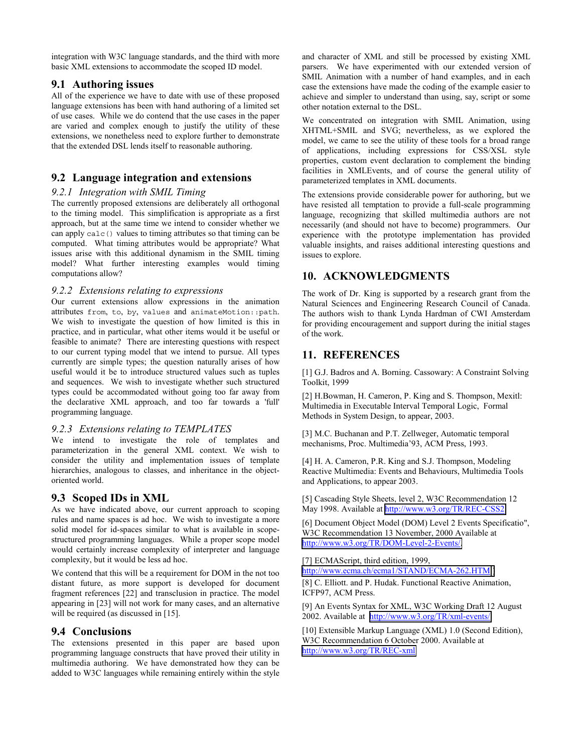integration with W3C language standards, and the third with more basic XML extensions to accommodate the scoped ID model.

### **9.1 Authoring issues**

All of the experience we have to date with use of these proposed language extensions has been with hand authoring of a limited set of use cases. While we do contend that the use cases in the paper are varied and complex enough to justify the utility of these extensions, we nonetheless need to explore further to demonstrate that the extended DSL lends itself to reasonable authoring.

### **9.2 Language integration and extensions**

#### *9.2.1 Integration with SMIL Timing*

The currently proposed extensions are deliberately all orthogonal to the timing model. This simplification is appropriate as a first approach, but at the same time we intend to consider whether we can apply calc() values to timing attributes so that timing can be computed. What timing attributes would be appropriate? What issues arise with this additional dynamism in the SMIL timing model? What further interesting examples would timing computations allow?

#### *9.2.2 Extensions relating to expressions*

Our current extensions allow expressions in the animation attributes from, to, by, values and animateMotion::path. We wish to investigate the question of how limited is this in practice, and in particular, what other items would it be useful or feasible to animate? There are interesting questions with respect to our current typing model that we intend to pursue. All types currently are simple types; the question naturally arises of how useful would it be to introduce structured values such as tuples and sequences. We wish to investigate whether such structured types could be accommodated without going too far away from the declarative XML approach, and too far towards a 'full' programming language.

#### *9.2.3 Extensions relating to TEMPLATES*

We intend to investigate the role of templates and parameterization in the general XML context. We wish to consider the utility and implementation issues of template hierarchies, analogous to classes, and inheritance in the objectoriented world.

### **9.3 Scoped IDs in XML**

As we have indicated above, our current approach to scoping rules and name spaces is ad hoc. We wish to investigate a more solid model for id-spaces similar to what is available in scopestructured programming languages. While a proper scope model would certainly increase complexity of interpreter and language complexity, but it would be less ad hoc.

We contend that this will be a requirement for DOM in the not too distant future, as more support is developed for document fragment references [22] and transclusion in practice. The model appearing in [23] will not work for many cases, and an alternative will be required (as discussed in [15].

### **9.4 Conclusions**

The extensions presented in this paper are based upon programming language constructs that have proved their utility in multimedia authoring. We have demonstrated how they can be added to W3C languages while remaining entirely within the style

and character of XML and still be processed by existing XML parsers. We have experimented with our extended version of SMIL Animation with a number of hand examples, and in each case the extensions have made the coding of the example easier to achieve and simpler to understand than using, say, script or some other notation external to the DSL.

We concentrated on integration with SMIL Animation, using XHTML+SMIL and SVG; nevertheless, as we explored the model, we came to see the utility of these tools for a broad range of applications, including expressions for CSS/XSL style properties, custom event declaration to complement the binding facilities in XMLEvents, and of course the general utility of parameterized templates in XML documents.

The extensions provide considerable power for authoring, but we have resisted all temptation to provide a full-scale programming language, recognizing that skilled multimedia authors are not necessarily (and should not have to become) programmers. Our experience with the prototype implementation has provided valuable insights, and raises additional interesting questions and issues to explore.

### **10. ACKNOWLEDGMENTS**

The work of Dr. King is supported by a research grant from the Natural Sciences and Engineering Research Council of Canada. The authors wish to thank Lynda Hardman of CWI Amsterdam for providing encouragement and support during the initial stages of the work.

### **11. REFERENCES**

[1] G.J. Badros and A. Borning. Cassowary: A Constraint Solving Toolkit, 1999

[2] H.Bowman, H. Cameron, P. King and S. Thompson, Mexitl: Multimedia in Executable Interval Temporal Logic, Formal Methods in System Design, to appear, 2003.

[3] M.C. Buchanan and P.T. Zellweger, Automatic temporal mechanisms, Proc. Multimedia'93, ACM Press, 1993.

[4] H. A. Cameron, P.R. King and S.J. Thompson, Modeling Reactive Multimedia: Events and Behaviours, Multimedia Tools and Applications, to appear 2003.

[5] Cascading Style Sheets, level 2, W3C Recommendation 12 May 1998. Available at [http://www.w3.org/TR/REC-CSS2.](http://www.w3.org/TR/REC-CSS2)

[6] Document Object Model (DOM) Level 2 Events Specificatio", W3C Recommendation 13 November, 2000 Available at [http://www.w3.org/TR/DOM-Level-2-Events/.](http://www.w3.org/TR/DOM-Level-2-Events/)

[7] ECMAScript, third edition, 1999,

[http://www.ecma.ch/ecma1/STAND/ECMA-262.HTM \)](http://www.ecma.ch/)

[8] C. Elliott, and P. Hudak. Functional Reactive Animation, ICFP97, ACM Press.

[9] An Events Syntax for XML, W3C Working Draft 12 August 2002. Available at [http://www.w3.org/TR/xml-events/.](http://www.w3.org/TR/xml-events/)

[10] Extensible Markup Language (XML) 1.0 (Second Edition), W3C Recommendation 6 October 2000. Available at <http://www.w3.org/TR/REC-xml>